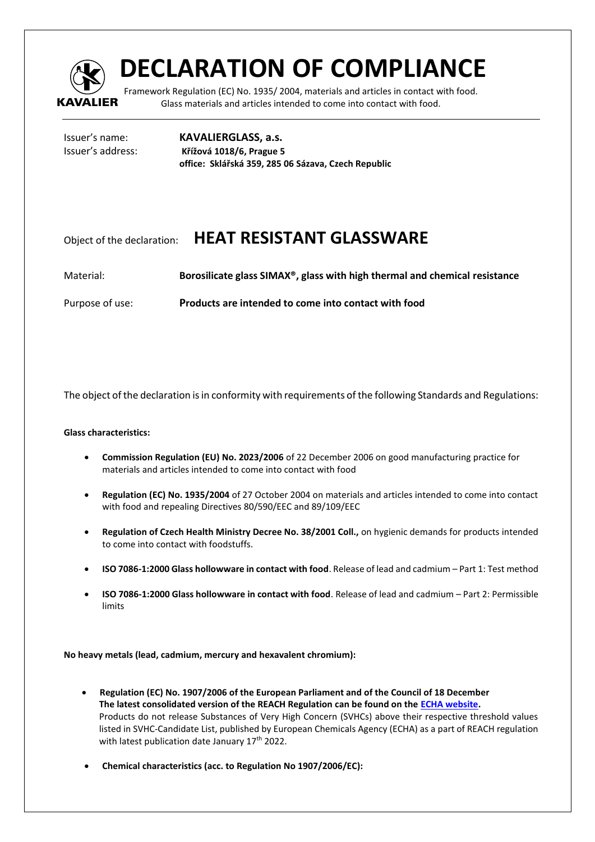

## **DECLARATION OF COMPLIANCE**

Framework Regulation (EC) No. 1935/ 2004, materials and articles in contact with food. Glass materials and articles intended to come into contact with food.

Issuer's name: **KAVALIERGLASS, a.s.** Issuer's address: **Křížová 1018/6, Prague 5 office: Sklářská 359, 285 06 Sázava, Czech Republic** 

## Object of the declaration: **HEAT RESISTANT GLASSWARE**

Material: **Borosilicate glass SIMAX®, glass with high thermal and chemical resistance** 

Purpose of use: **Products are intended to come into contact with food** 

The object of the declaration is in conformity with requirements of the following Standards and Regulations:

## **Glass characteristics:**

- **Commission Regulation (EU) No. 2023/2006** of 22 December 2006 on good manufacturing practice for materials and articles intended to come into contact with food
- **Regulation (EC) No. 1935/2004** of 27 October 2004 on materials and articles intended to come into contact with food and repealing Directives 80/590/EEC and 89/109/EEC
- **Regulation of Czech Health Ministry Decree No. 38/2001 Coll.,** on hygienic demands for products intended to come into contact with foodstuffs.
- **ISO 7086-1:2000 Glass hollowware in contact with food**. Release of lead and cadmium Part 1: Test method
- **ISO 7086-1:2000 Glass hollowware in contact with food**. Release of lead and cadmium Part 2: Permissible limits

**No heavy metals (lead, cadmium, mercury and hexavalent chromium):**

- **Regulation (EC) No. 1907/2006 of the European Parliament and of the Council of 18 December The latest consolidated version of the REACH Regulation can be found on the [ECHA website.](https://echa.europa.eu/regulations/reach/legislation)** Products do not release Substances of Very High Concern (SVHCs) above their respective threshold values listed in SVHC-Candidate List, published by European Chemicals Agency (ECHA) as a part of REACH regulation with latest publication date January  $17<sup>th</sup>$  2022.
- **Chemical characteristics (acc. to Regulation No 1907/2006/EC):**